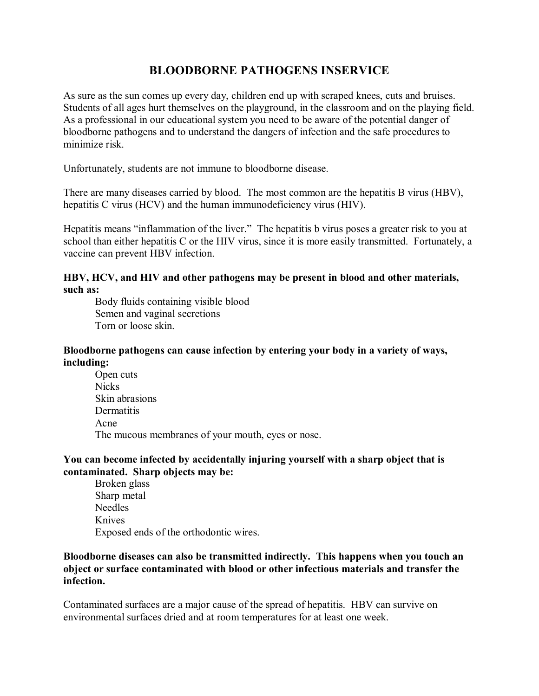# **BLOODBORNE PATHOGENS INSERVICE**

As sure as the sun comes up every day, children end up with scraped knees, cuts and bruises. Students of all ages hurt themselves on the playground, in the classroom and on the playing field. As a professional in our educational system you need to be aware of the potential danger of bloodborne pathogens and to understand the dangers of infection and the safe procedures to minimize risk.

Unfortunately, students are not immune to bloodborne disease.

There are many diseases carried by blood. The most common are the hepatitis B virus (HBV), hepatitis C virus (HCV) and the human immunodeficiency virus (HIV).

Hepatitis means "inflammation of the liver." The hepatitis b virus poses a greater risk to you at school than either hepatitis C or the HIV virus, since it is more easily transmitted. Fortunately, a vaccine can prevent HBV infection.

### **HBV, HCV, and HIV and other pathogens may be present in blood and other materials, such as:**

Body fluids containing visible blood Semen and vaginal secretions Torn or loose skin.

### **Bloodborne pathogens can cause infection by entering your body in a variety of ways, including:**

Open cuts Nicks Skin abrasions **Dermatitis** Acne The mucous membranes of your mouth, eyes or nose.

## **You can become infected by accidentally injuring yourself with a sharp object that is contaminated. Sharp objects may be:**

Broken glass Sharp metal Needles Knives Exposed ends of the orthodontic wires.

#### **Bloodborne diseases can also be transmitted indirectly. This happens when you touch an object or surface contaminated with blood or other infectious materials and transfer the infection.**

Contaminated surfaces are a major cause of the spread of hepatitis. HBV can survive on environmental surfaces dried and at room temperatures for at least one week.